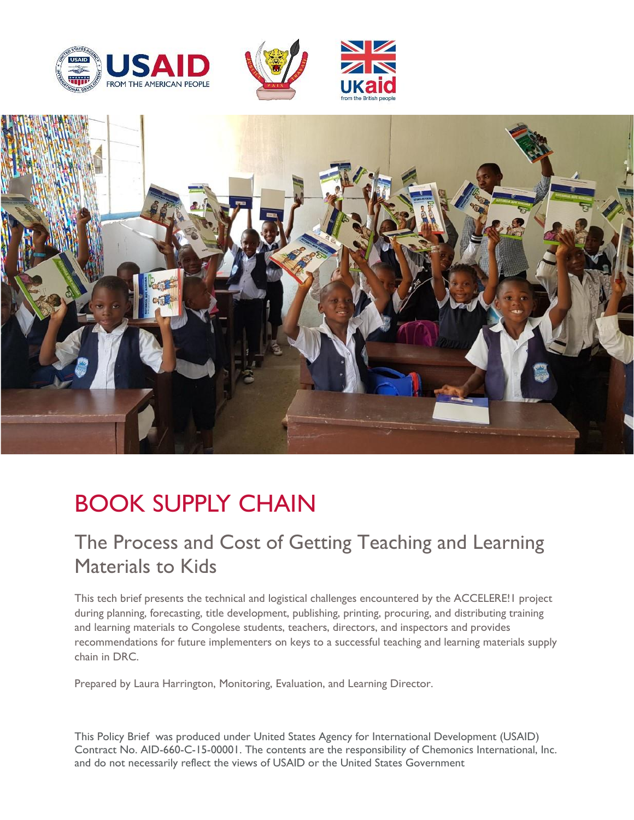





# BOOK SUPPLY CHAIN

# The Process and Cost of Getting Teaching and Learning Materials to Kids

This tech brief presents the technical and logistical challenges encountered by the ACCELERE!1 project during planning, forecasting, title development, publishing, printing, procuring, and distributing training and learning materials to Congolese students, teachers, directors, and inspectors and provides recommendations for future implementers on keys to a successful teaching and learning materials supply chain in DRC.

Prepared by Laura Harrington, Monitoring, Evaluation, and Learning Director.

This Policy Brief was produced under United States Agency for International Development (USAID) Contract No. AID-660-C-15-00001. The contents are the responsibility of Chemonics International, Inc. and do not necessarily reflect the views of USAID or the United States Government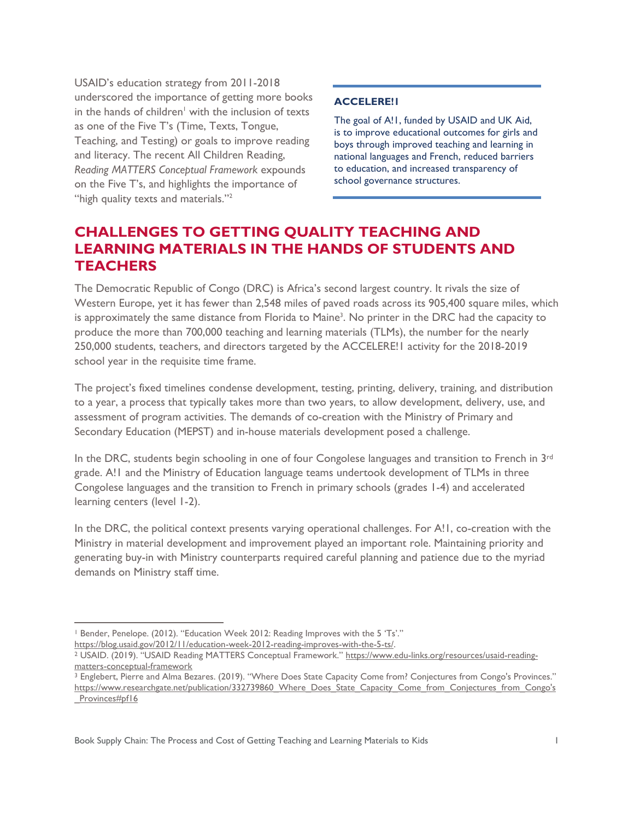USAID's education strategy from 2011-2018 underscored the importance of getting more books in the hands of children<sup> $1$ </sup> with the inclusion of texts as one of the Five T's (Time, Texts, Tongue, Teaching, and Testing) or goals to improve reading and literacy. The recent All Children Reading, *Reading MATTERS Conceptual Framework* expounds on the Five T's, and highlights the importance of "high quality texts and materials."<sup>2</sup>

#### **ACCELERE!1**

The goal of A!1, funded by USAID and UK Aid, is to improve educational outcomes for girls and boys through improved teaching and learning in national languages and French, reduced barriers to education, and increased transparency of school governance structures.

### **CHALLENGES TO GETTING QUALITY TEACHING AND LEARNING MATERIALS IN THE HANDS OF STUDENTS AND TEACHERS**

The Democratic Republic of Congo (DRC) is Africa's second largest country. It rivals the size of Western Europe, yet it has fewer than 2,548 miles of paved roads across its 905,400 square miles, which is approximately the same distance from Florida to Maine<sup>3</sup>. No printer in the DRC had the capacity to produce the more than 700,000 teaching and learning materials (TLMs), the number for the nearly 250,000 students, teachers, and directors targeted by the ACCELERE!1 activity for the 2018-2019 school year in the requisite time frame.

The project's fixed timelines condense development, testing, printing, delivery, training, and distribution to a year, a process that typically takes more than two years, to allow development, delivery, use, and assessment of program activities. The demands of co-creation with the Ministry of Primary and Secondary Education (MEPST) and in-house materials development posed a challenge.

In the DRC, students begin schooling in one of four Congolese languages and transition to French in 3rd grade. A!1 and the Ministry of Education language teams undertook development of TLMs in three Congolese languages and the transition to French in primary schools (grades 1-4) and accelerated learning centers (level 1-2).

In the DRC, the political context presents varying operational challenges. For A!I, co-creation with the Ministry in material development and improvement played an important role. Maintaining priority and generating buy-in with Ministry counterparts required careful planning and patience due to the myriad demands on Ministry staff time.

<sup>&</sup>lt;sup>1</sup> Bender, Penelope. (2012). "Education Week 2012: Reading Improves with the 5 'Ts'."

[https://blog.usaid.gov/2012/11/education-week-2012-reading-improves-with-the-5-ts/.](https://blog.usaid.gov/2012/11/education-week-2012-reading-improves-with-the-5-ts/)

<sup>&</sup>lt;sup>2</sup> USAID. (2019). "USAID Reading MATTERS Conceptual Framework." [https://www.edu-links.org/resources/usaid-reading](https://www.edu-links.org/resources/usaid-reading-matters-conceptual-framework)[matters-conceptual-framework](https://www.edu-links.org/resources/usaid-reading-matters-conceptual-framework)

<sup>3</sup> Englebert, Pierre and Alma Bezares. (2019). "Where Does State Capacity Come from? Conjectures from Congo's Provinces." [https://www.researchgate.net/publication/332739860\\_Where\\_Does\\_State\\_Capacity\\_Come\\_from\\_Conjectures\\_from\\_Congo's](https://www.researchgate.net/publication/332739860_Where_Does_State_Capacity_Come_from_Conjectures_from_Congo) Provinces#pf16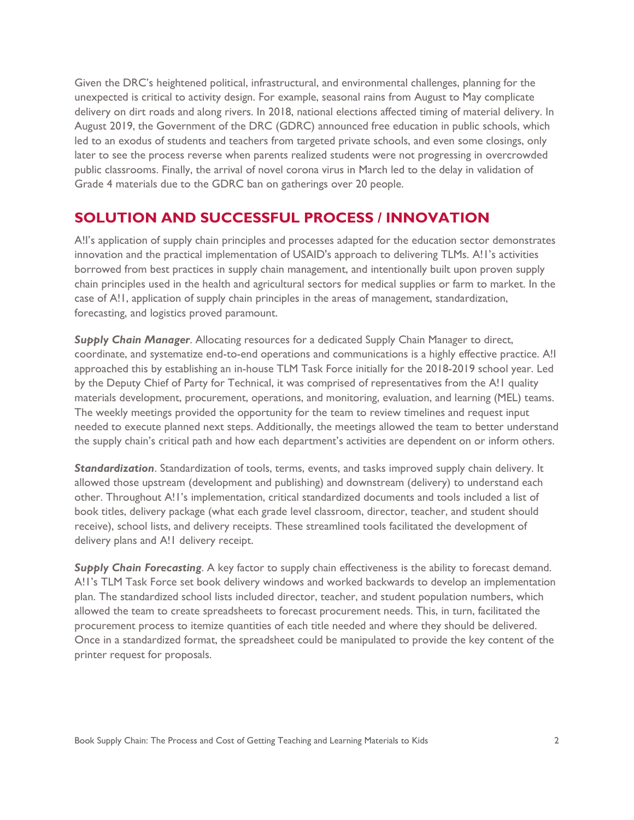Given the DRC's heightened political, infrastructural, and environmental challenges, planning for the unexpected is critical to activity design. For example, seasonal rains from August to May complicate delivery on dirt roads and along rivers. In 2018, national elections affected timing of material delivery. In August 2019, the Government of the DRC (GDRC) announced free education in public schools, which led to an exodus of students and teachers from targeted private schools, and even some closings, only later to see the process reverse when parents realized students were not progressing in overcrowded public classrooms. Finally, the arrival of novel corona virus in March led to the delay in validation of Grade 4 materials due to the GDRC ban on gatherings over 20 people.

#### **SOLUTION AND SUCCESSFUL PROCESS / INNOVATION**

A!I's application of supply chain principles and processes adapted for the education sector demonstrates innovation and the practical implementation of USAID's approach to delivering TLMs. A!1's activities borrowed from best practices in supply chain management, and intentionally built upon proven supply chain principles used in the health and agricultural sectors for medical supplies or farm to market. In the case of A!1, application of supply chain principles in the areas of management, standardization, forecasting, and logistics proved paramount.

*Supply Chain Manager*. Allocating resources for a dedicated Supply Chain Manager to direct, coordinate, and systematize end-to-end operations and communications is a highly effective practice. A!I approached this by establishing an in-house TLM Task Force initially for the 2018-2019 school year. Led by the Deputy Chief of Party for Technical, it was comprised of representatives from the A!1 quality materials development, procurement, operations, and monitoring, evaluation, and learning (MEL) teams. The weekly meetings provided the opportunity for the team to review timelines and request input needed to execute planned next steps. Additionally, the meetings allowed the team to better understand the supply chain's critical path and how each department's activities are dependent on or inform others.

*Standardization*. Standardization of tools, terms, events, and tasks improved supply chain delivery. It allowed those upstream (development and publishing) and downstream (delivery) to understand each other. Throughout A!1's implementation, critical standardized documents and tools included a list of book titles, delivery package (what each grade level classroom, director, teacher, and student should receive), school lists, and delivery receipts. These streamlined tools facilitated the development of delivery plans and A!1 delivery receipt.

**Supply Chain Forecasting**. A key factor to supply chain effectiveness is the ability to forecast demand. A!1's TLM Task Force set book delivery windows and worked backwards to develop an implementation plan. The standardized school lists included director, teacher, and student population numbers, which allowed the team to create spreadsheets to forecast procurement needs. This, in turn, facilitated the procurement process to itemize quantities of each title needed and where they should be delivered. Once in a standardized format, the spreadsheet could be manipulated to provide the key content of the printer request for proposals.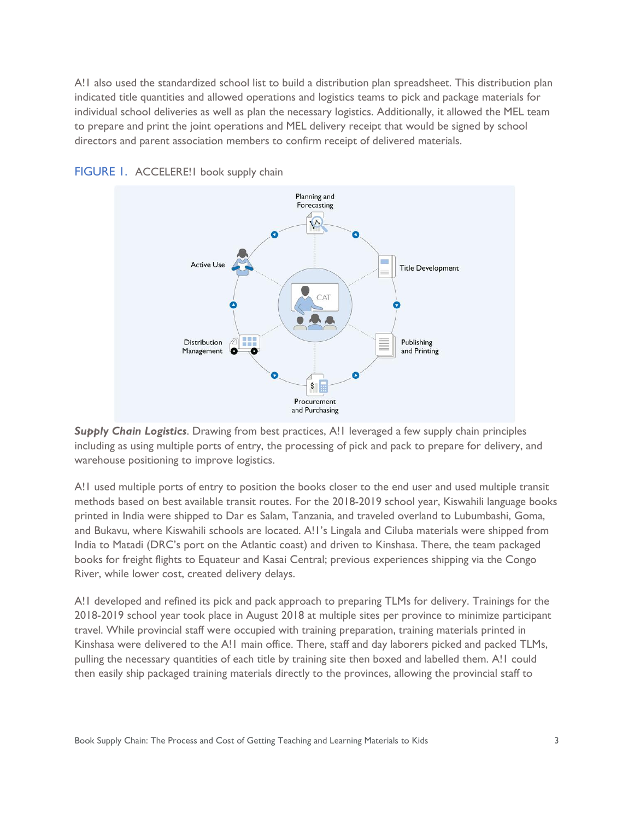A!1 also used the standardized school list to build a distribution plan spreadsheet. This distribution plan indicated title quantities and allowed operations and logistics teams to pick and package materials for individual school deliveries as well as plan the necessary logistics. Additionally, it allowed the MEL team to prepare and print the joint operations and MEL delivery receipt that would be signed by school directors and parent association members to confirm receipt of delivered materials.





*Supply Chain Logistics*. Drawing from best practices, A!1 leveraged a few supply chain principles including as using multiple ports of entry, the processing of pick and pack to prepare for delivery, and warehouse positioning to improve logistics.

A!1 used multiple ports of entry to position the books closer to the end user and used multiple transit methods based on best available transit routes. For the 2018-2019 school year, Kiswahili language books printed in India were shipped to Dar es Salam, Tanzania, and traveled overland to Lubumbashi, Goma, and Bukavu, where Kiswahili schools are located. A!1's Lingala and Ciluba materials were shipped from India to Matadi (DRC's port on the Atlantic coast) and driven to Kinshasa. There, the team packaged books for freight flights to Equateur and Kasai Central; previous experiences shipping via the Congo River, while lower cost, created delivery delays.

A!1 developed and refined its pick and pack approach to preparing TLMs for delivery. Trainings for the 2018-2019 school year took place in August 2018 at multiple sites per province to minimize participant travel. While provincial staff were occupied with training preparation, training materials printed in Kinshasa were delivered to the A!1 main office. There, staff and day laborers picked and packed TLMs, pulling the necessary quantities of each title by training site then boxed and labelled them. A!1 could then easily ship packaged training materials directly to the provinces, allowing the provincial staff to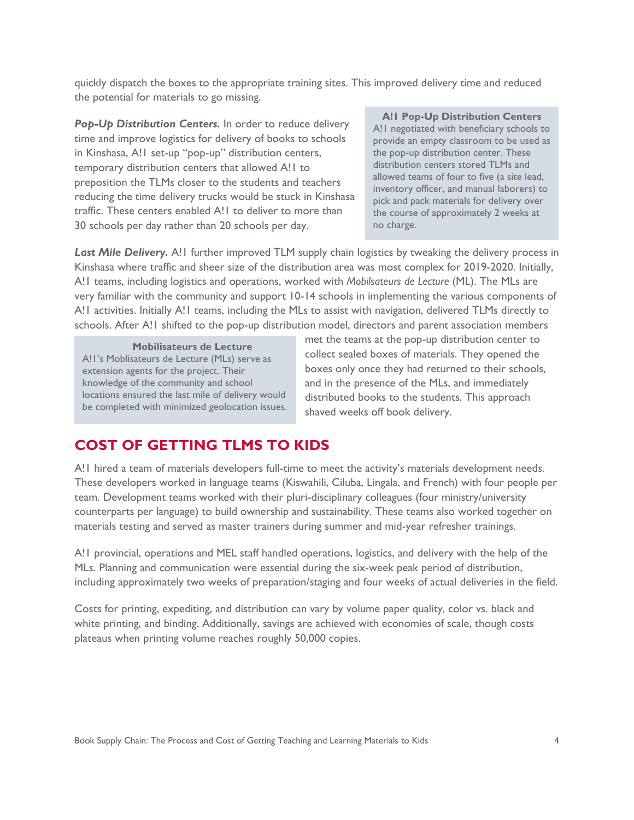quickly dispatch the boxes to the appropriate training sites. This improved delivery time and reduced the potential for materials to go missing.

*Pop-Up Distribution Centers.* In order to reduce delivery time and improve logistics for delivery of books to schools in Kinshasa, A!1 set-up "pop-up" distribution centers, temporary distribution centers that allowed A!1 to preposition the TLMs closer to the students and teachers reducing the time delivery trucks would be stuck in Kinshasa traffic. These centers enabled A!1 to deliver to more than 30 schools per day rather than 20 schools per day.

**A!1 Pop-Up Distribution Centers** A!1 negotiated with beneficiary schools to provide an empty classroom to be used as the pop-up distribution center. These distribution centers stored TLMs and allowed teams of four to five (a site lead, inventory officer, and manual laborers) to pick and pack materials for delivery over the course of approximately 2 weeks at no charge.

Last Mile Delivery. A! I further improved TLM supply chain logistics by tweaking the delivery process in Kinshasa where traffic and sheer size of the distribution area was most complex for 2019-2020. Initially, A!1 teams, including logistics and operations, worked with *Mobilsateurs de Lecture* (ML). The MLs are very familiar with the community and support 10-14 schools in implementing the various components of A!1 activities. Initially A!1 teams, including the MLs to assist with navigation, delivered TLMs directly to schools. After A!1 shifted to the pop-up distribution model, directors and parent association members

**Mobilisateurs de Lecture**  A!1's Moblisateurs de Lecture (MLs) serve as extension agents for the project. Their knowledge of the community and school locations ensured the last mile of delivery would be completed with minimized geolocation issues.

met the teams at the pop-up distribution center to collect sealed boxes of materials. They opened the boxes only once they had returned to their schools, and in the presence of the MLs, and immediately distributed books to the students. This approach shaved weeks off book delivery.

#### **COST OF GETTING TLMS TO KIDS**

A!1 hired a team of materials developers full-time to meet the activity's materials development needs. These developers worked in language teams (Kiswahili, Ciluba, Lingala, and French) with four people per team. Development teams worked with their pluri-disciplinary colleagues (four ministry/university counterparts per language) to build ownership and sustainability. These teams also worked together on materials testing and served as master trainers during summer and mid-year refresher trainings.

A!1 provincial, operations and MEL staff handled operations, logistics, and delivery with the help of the MLs. Planning and communication were essential during the six-week peak period of distribution, including approximately two weeks of preparation/staging and four weeks of actual deliveries in the field.

Costs for printing, expediting, and distribution can vary by volume paper quality, color vs. black and white printing, and binding. Additionally, savings are achieved with economies of scale, though costs plateaus when printing volume reaches roughly 50,000 copies.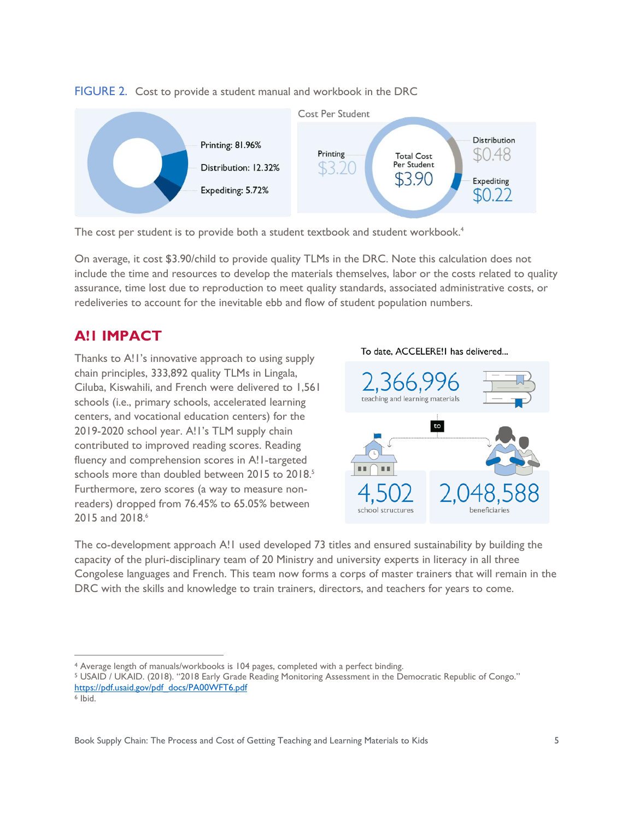



The cost per student is to provide both a student textbook and student workbook. 4

On average, it cost \$3.90/child to provide quality TLMs in the DRC. Note this calculation does not include the time and resources to develop the materials themselves, labor or the costs related to quality assurance, time lost due to reproduction to meet quality standards, associated administrative costs, or redeliveries to account for the inevitable ebb and flow of student population numbers.

## **A!1 IMPACT**

Thanks to A!1's innovative approach to using supply chain principles, 333,892 quality TLMs in Lingala, Ciluba, Kiswahili, and French were delivered to 1,561 schools (i.e., primary schools, accelerated learning centers, and vocational education centers) for the 2019-2020 school year. A!1's TLM supply chain contributed to improved reading scores. Reading fluency and comprehension scores in A!1-targeted schools more than doubled between 2015 to 2018.<sup>5</sup> Furthermore, zero scores (a way to measure nonreaders) dropped from 76.45% to 65.05% between 2015 and 2018. 6





The co-development approach A!1 used developed 73 titles and ensured sustainability by building the capacity of the pluri-disciplinary team of 20 Ministry and university experts in literacy in all three Congolese languages and French. This team now forms a corps of master trainers that will remain in the DRC with the skills and knowledge to train trainers, directors, and teachers for years to come.

<sup>4</sup> Average length of manuals/workbooks is 104 pages, completed with a perfect binding.

<sup>5</sup> USAID / UKAID. (2018). "2018 Early Grade Reading Monitoring Assessment in the Democratic Republic of Congo." [https://pdf.usaid.gov/pdf\\_docs/PA00WFT6.pdf](https://pdf.usaid.gov/pdf_docs/PA00WFT6.pdf)

<sup>6</sup> Ibid.